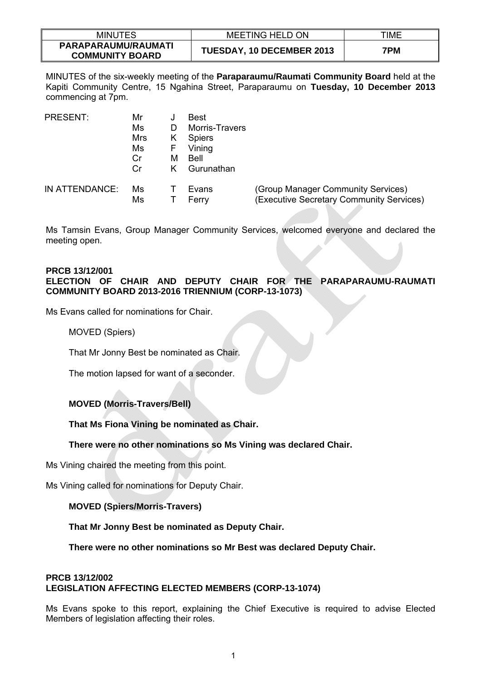| <b>MINUTES</b>                                | <b>MEETING HELD ON</b>    | TIME |
|-----------------------------------------------|---------------------------|------|
| PARAPARAUMU/RAUMATI<br><b>COMMUNITY BOARD</b> | TUESDAY, 10 DECEMBER 2013 | 7PM  |

MINUTES of the six-weekly meeting of the **Paraparaumu/Raumati Community Board** held at the Kapiti Community Centre, 15 Ngahina Street, Paraparaumu on **Tuesday, 10 December 2013** commencing at 7pm.

| <b>PRESENT:</b> | Mr  |   | Best                  |                                          |
|-----------------|-----|---|-----------------------|------------------------------------------|
|                 | Ms  |   | <b>Morris-Travers</b> |                                          |
|                 | Mrs | ĸ | <b>Spiers</b>         |                                          |
|                 | Ms  | ۲ | Vining                |                                          |
|                 | Cr  | м | Bell                  |                                          |
|                 | Cr  |   | Gurunathan            |                                          |
| IN ATTENDANCE:  | Ms  |   | Evans                 | (Group Manager Community Services)       |
|                 | Ms  |   | Ferry                 | (Executive Secretary Community Services) |

Ms Tamsin Evans, Group Manager Community Services, welcomed everyone and declared the meeting open.

## **PRCB 13/12/001 ELECTION OF CHAIR AND DEPUTY CHAIR FOR THE PARAPARAUMU-RAUMATI COMMUNITY BOARD 2013-2016 TRIENNIUM (CORP-13-1073)**

Ms Evans called for nominations for Chair.

MOVED (Spiers)

That Mr Jonny Best be nominated as Chair.

The motion lapsed for want of a seconder.

# **MOVED (Morris-Travers/Bell)**

**That Ms Fiona Vining be nominated as Chair.** 

## **There were no other nominations so Ms Vining was declared Chair.**

Ms Vining chaired the meeting from this point.

Ms Vining called for nominations for Deputy Chair.

## **MOVED (Spiers/Morris-Travers)**

**That Mr Jonny Best be nominated as Deputy Chair.** 

**There were no other nominations so Mr Best was declared Deputy Chair.** 

# **PRCB 13/12/002 LEGISLATION AFFECTING ELECTED MEMBERS (CORP-13-1074)**

Ms Evans spoke to this report, explaining the Chief Executive is required to advise Elected Members of legislation affecting their roles.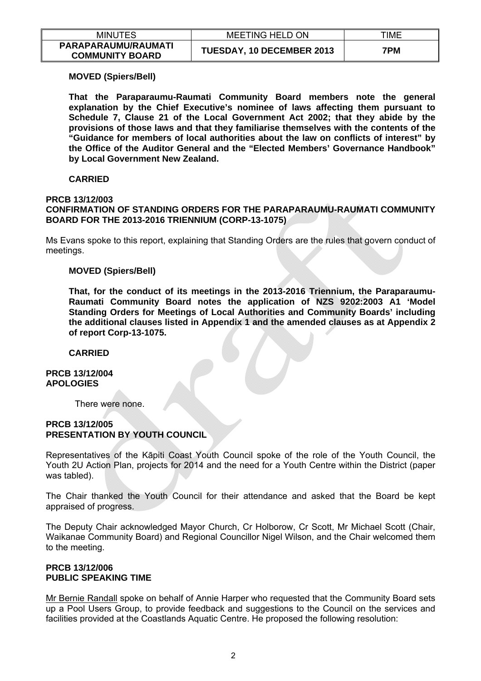| <b>MINUTES</b>                                | <b>MEETING HELD ON</b>    | TIME |
|-----------------------------------------------|---------------------------|------|
| PARAPARAUMU/RAUMATI<br><b>COMMUNITY BOARD</b> | TUESDAY, 10 DECEMBER 2013 | 7PM  |

## **MOVED (Spiers/Bell)**

**That the Paraparaumu-Raumati Community Board members note the general explanation by the Chief Executive's nominee of laws affecting them pursuant to Schedule 7, Clause 21 of the Local Government Act 2002; that they abide by the provisions of those laws and that they familiarise themselves with the contents of the "Guidance for members of local authorities about the law on conflicts of interest" by the Office of the Auditor General and the "Elected Members' Governance Handbook" by Local Government New Zealand.** 

## **CARRIED**

#### **PRCB 13/12/003 CONFIRMATION OF STANDING ORDERS FOR THE PARAPARAUMU-RAUMATI COMMUNITY BOARD FOR THE 2013-2016 TRIENNIUM (CORP-13-1075)**

Ms Evans spoke to this report, explaining that Standing Orders are the rules that govern conduct of meetings.

### **MOVED (Spiers/Bell)**

**That, for the conduct of its meetings in the 2013-2016 Triennium, the Paraparaumu-Raumati Community Board notes the application of NZS 9202:2003 A1 'Model Standing Orders for Meetings of Local Authorities and Community Boards' including the additional clauses listed in Appendix 1 and the amended clauses as at Appendix 2 of report Corp-13-1075.** 

### **CARRIED**

**PRCB 13/12/004 APOLOGIES** 

There were none.

## **PRCB 13/12/005 PRESENTATION BY YOUTH COUNCIL**

Representatives of the Kāpiti Coast Youth Council spoke of the role of the Youth Council, the Youth 2U Action Plan, projects for 2014 and the need for a Youth Centre within the District (paper was tabled).

The Chair thanked the Youth Council for their attendance and asked that the Board be kept appraised of progress.

The Deputy Chair acknowledged Mayor Church, Cr Holborow, Cr Scott, Mr Michael Scott (Chair, Waikanae Community Board) and Regional Councillor Nigel Wilson, and the Chair welcomed them to the meeting.

### **PRCB 13/12/006 PUBLIC SPEAKING TIME**

Mr Bernie Randall spoke on behalf of Annie Harper who requested that the Community Board sets up a Pool Users Group, to provide feedback and suggestions to the Council on the services and facilities provided at the Coastlands Aquatic Centre. He proposed the following resolution: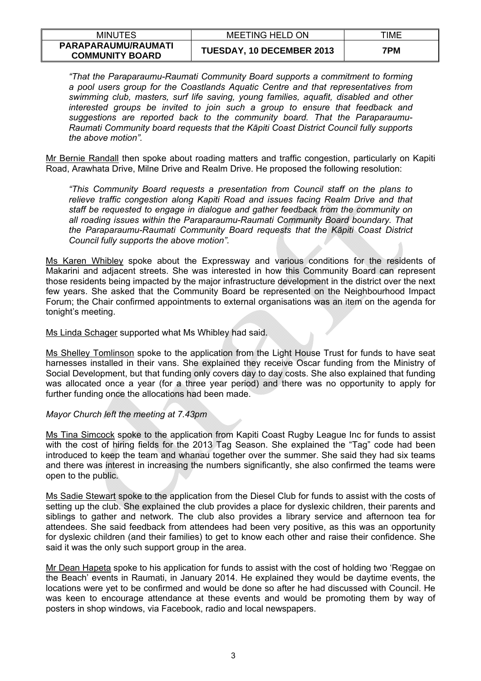| <b>MINUTES</b>                                | MEETING HELD ON           | TIME |
|-----------------------------------------------|---------------------------|------|
| PARAPARAUMU/RAUMATI<br><b>COMMUNITY BOARD</b> | TUESDAY, 10 DECEMBER 2013 | 7PM  |

*"That the Paraparaumu-Raumati Community Board supports a commitment to forming a pool users group for the Coastlands Aquatic Centre and that representatives from swimming club, masters, surf life saving, young families, aquafit, disabled and other interested groups be invited to join such a group to ensure that feedback and suggestions are reported back to the community board. That the Paraparaumu-Raumati Community board requests that the Kāpiti Coast District Council fully supports the above motion".* 

Mr Bernie Randall then spoke about roading matters and traffic congestion, particularly on Kapiti Road, Arawhata Drive, Milne Drive and Realm Drive. He proposed the following resolution:

*"This Community Board requests a presentation from Council staff on the plans to relieve traffic congestion along Kapiti Road and issues facing Realm Drive and that staff be requested to engage in dialogue and gather feedback from the community on all roading issues within the Paraparaumu-Raumati Community Board boundary. That the Paraparaumu-Raumati Community Board requests that the Kāpiti Coast District Council fully supports the above motion".* 

Ms Karen Whibley spoke about the Expressway and various conditions for the residents of Makarini and adjacent streets. She was interested in how this Community Board can represent those residents being impacted by the major infrastructure development in the district over the next few years. She asked that the Community Board be represented on the Neighbourhood Impact Forum; the Chair confirmed appointments to external organisations was an item on the agenda for tonight's meeting.

Ms Linda Schager supported what Ms Whibley had said.

Ms Shelley Tomlinson spoke to the application from the Light House Trust for funds to have seat harnesses installed in their vans. She explained they receive Oscar funding from the Ministry of Social Development, but that funding only covers day to day costs. She also explained that funding was allocated once a year (for a three year period) and there was no opportunity to apply for further funding once the allocations had been made.

### *Mayor Church left the meeting at 7.43pm*

Ms Tina Simcock spoke to the application from Kapiti Coast Rugby League Inc for funds to assist with the cost of hiring fields for the 2013 Tag Season. She explained the "Tag" code had been introduced to keep the team and whanau together over the summer. She said they had six teams and there was interest in increasing the numbers significantly, she also confirmed the teams were open to the public.

Ms Sadie Stewart spoke to the application from the Diesel Club for funds to assist with the costs of setting up the club. She explained the club provides a place for dyslexic children, their parents and siblings to gather and network. The club also provides a library service and afternoon tea for attendees. She said feedback from attendees had been very positive, as this was an opportunity for dyslexic children (and their families) to get to know each other and raise their confidence. She said it was the only such support group in the area.

Mr Dean Hapeta spoke to his application for funds to assist with the cost of holding two 'Reggae on the Beach' events in Raumati, in January 2014. He explained they would be daytime events, the locations were yet to be confirmed and would be done so after he had discussed with Council. He was keen to encourage attendance at these events and would be promoting them by way of posters in shop windows, via Facebook, radio and local newspapers.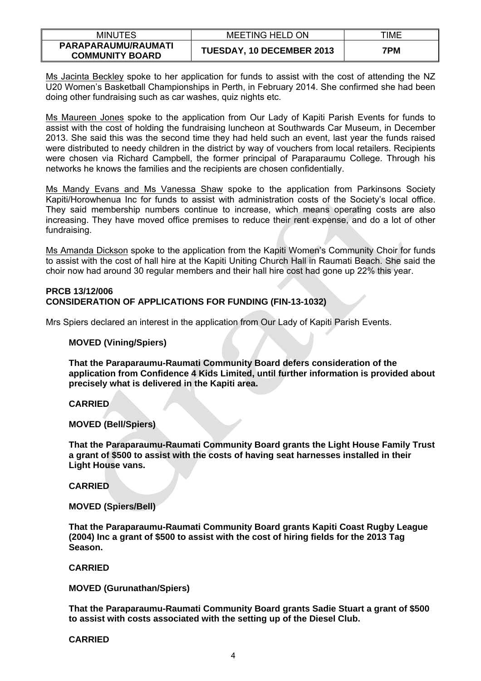| <b>MINUTES</b>                                | <b>MEETING HELD ON</b>    | TIME |
|-----------------------------------------------|---------------------------|------|
| PARAPARAUMU/RAUMATI<br><b>COMMUNITY BOARD</b> | TUESDAY, 10 DECEMBER 2013 | 7PM  |

Ms Jacinta Beckley spoke to her application for funds to assist with the cost of attending the NZ U20 Women's Basketball Championships in Perth, in February 2014. She confirmed she had been doing other fundraising such as car washes, quiz nights etc.

Ms Maureen Jones spoke to the application from Our Lady of Kapiti Parish Events for funds to assist with the cost of holding the fundraising luncheon at Southwards Car Museum, in December 2013. She said this was the second time they had held such an event, last year the funds raised were distributed to needy children in the district by way of vouchers from local retailers. Recipients were chosen via Richard Campbell, the former principal of Paraparaumu College. Through his networks he knows the families and the recipients are chosen confidentially.

Ms Mandy Evans and Ms Vanessa Shaw spoke to the application from Parkinsons Society Kapiti/Horowhenua Inc for funds to assist with administration costs of the Society's local office. They said membership numbers continue to increase, which means operating costs are also increasing. They have moved office premises to reduce their rent expense, and do a lot of other fundraising.

Ms Amanda Dickson spoke to the application from the Kapiti Women's Community Choir for funds to assist with the cost of hall hire at the Kapiti Uniting Church Hall in Raumati Beach. She said the choir now had around 30 regular members and their hall hire cost had gone up 22% this year.

## **PRCB 13/12/006 CONSIDERATION OF APPLICATIONS FOR FUNDING (FIN-13-1032)**

Mrs Spiers declared an interest in the application from Our Lady of Kapiti Parish Events.

## **MOVED (Vining/Spiers)**

**That the Paraparaumu-Raumati Community Board defers consideration of the application from Confidence 4 Kids Limited, until further information is provided about precisely what is delivered in the Kapiti area.** 

## **CARRIED**

### **MOVED (Bell/Spiers)**

**That the Paraparaumu-Raumati Community Board grants the Light House Family Trust a grant of \$500 to assist with the costs of having seat harnesses installed in their Light House vans.** 

**CARRIED** 

### **MOVED (Spiers/Bell)**

**That the Paraparaumu-Raumati Community Board grants Kapiti Coast Rugby League (2004) Inc a grant of \$500 to assist with the cost of hiring fields for the 2013 Tag Season.** 

### **CARRIED**

**MOVED (Gurunathan/Spiers)** 

**That the Paraparaumu-Raumati Community Board grants Sadie Stuart a grant of \$500 to assist with costs associated with the setting up of the Diesel Club.** 

### **CARRIED**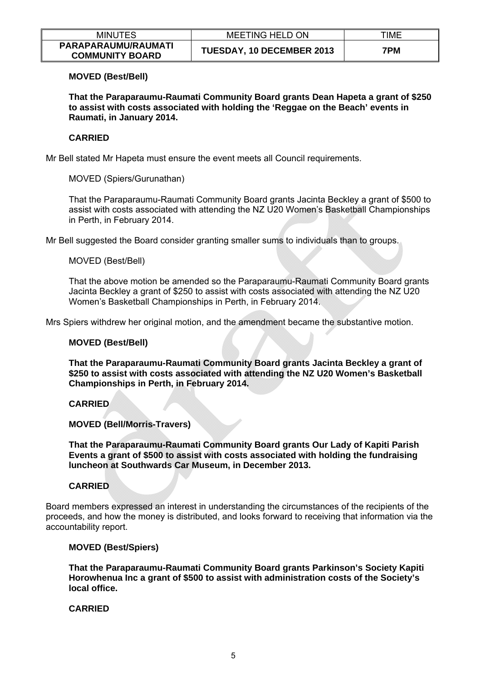| <b>MINUTES</b>                                | MEETING HELD ON           | TIME |
|-----------------------------------------------|---------------------------|------|
| PARAPARAUMU/RAUMATI<br><b>COMMUNITY BOARD</b> | TUESDAY, 10 DECEMBER 2013 | 7PM  |

## **MOVED (Best/Bell)**

**That the Paraparaumu-Raumati Community Board grants Dean Hapeta a grant of \$250 to assist with costs associated with holding the 'Reggae on the Beach' events in Raumati, in January 2014.** 

## **CARRIED**

Mr Bell stated Mr Hapeta must ensure the event meets all Council requirements.

## MOVED (Spiers/Gurunathan)

That the Paraparaumu-Raumati Community Board grants Jacinta Beckley a grant of \$500 to assist with costs associated with attending the NZ U20 Women's Basketball Championships in Perth, in February 2014.

Mr Bell suggested the Board consider granting smaller sums to individuals than to groups.

## MOVED (Best/Bell)

That the above motion be amended so the Paraparaumu-Raumati Community Board grants Jacinta Beckley a grant of \$250 to assist with costs associated with attending the NZ U20 Women's Basketball Championships in Perth, in February 2014.

Mrs Spiers withdrew her original motion, and the amendment became the substantive motion.

### **MOVED (Best/Bell)**

**That the Paraparaumu-Raumati Community Board grants Jacinta Beckley a grant of \$250 to assist with costs associated with attending the NZ U20 Women's Basketball Championships in Perth, in February 2014.** 

## **CARRIED**

### **MOVED (Bell/Morris-Travers)**

**That the Paraparaumu-Raumati Community Board grants Our Lady of Kapiti Parish Events a grant of \$500 to assist with costs associated with holding the fundraising luncheon at Southwards Car Museum, in December 2013.** 

### **CARRIED**

Board members expressed an interest in understanding the circumstances of the recipients of the proceeds, and how the money is distributed, and looks forward to receiving that information via the accountability report.

### **MOVED (Best/Spiers)**

**That the Paraparaumu-Raumati Community Board grants Parkinson's Society Kapiti Horowhenua Inc a grant of \$500 to assist with administration costs of the Society's local office.** 

### **CARRIED**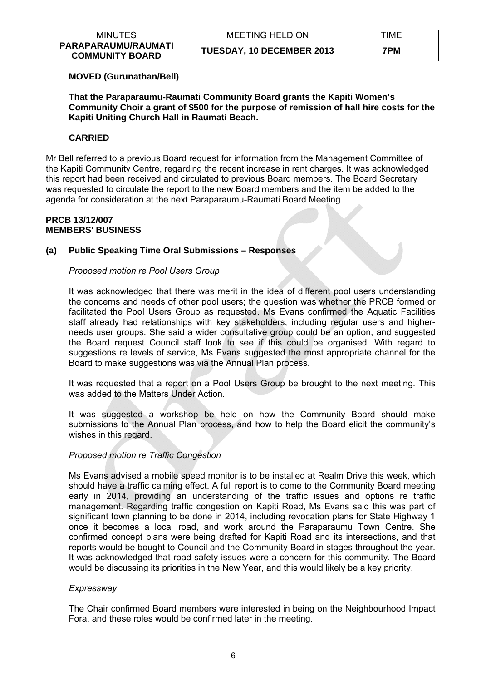| <b>MINUTES</b>                                | <b>MEETING HELD ON</b>    | TIME |
|-----------------------------------------------|---------------------------|------|
| PARAPARAUMU/RAUMATI<br><b>COMMUNITY BOARD</b> | TUESDAY, 10 DECEMBER 2013 | 7PM  |

## **MOVED (Gurunathan/Bell)**

**That the Paraparaumu-Raumati Community Board grants the Kapiti Women's Community Choir a grant of \$500 for the purpose of remission of hall hire costs for the Kapiti Uniting Church Hall in Raumati Beach.** 

## **CARRIED**

Mr Bell referred to a previous Board request for information from the Management Committee of the Kapiti Community Centre, regarding the recent increase in rent charges. It was acknowledged this report had been received and circulated to previous Board members. The Board Secretary was requested to circulate the report to the new Board members and the item be added to the agenda for consideration at the next Paraparaumu-Raumati Board Meeting.

### **PRCB 13/12/007 MEMBERS' BUSINESS**

## **(a) Public Speaking Time Oral Submissions – Responses**

## *Proposed motion re Pool Users Group*

It was acknowledged that there was merit in the idea of different pool users understanding the concerns and needs of other pool users; the question was whether the PRCB formed or facilitated the Pool Users Group as requested. Ms Evans confirmed the Aquatic Facilities staff already had relationships with key stakeholders, including regular users and higherneeds user groups. She said a wider consultative group could be an option, and suggested the Board request Council staff look to see if this could be organised. With regard to suggestions re levels of service, Ms Evans suggested the most appropriate channel for the Board to make suggestions was via the Annual Plan process.

It was requested that a report on a Pool Users Group be brought to the next meeting. This was added to the Matters Under Action.

It was suggested a workshop be held on how the Community Board should make submissions to the Annual Plan process, and how to help the Board elicit the community's wishes in this regard.

## *Proposed motion re Traffic Congestion*

Ms Evans advised a mobile speed monitor is to be installed at Realm Drive this week, which should have a traffic calming effect. A full report is to come to the Community Board meeting early in 2014, providing an understanding of the traffic issues and options re traffic management. Regarding traffic congestion on Kapiti Road, Ms Evans said this was part of significant town planning to be done in 2014, including revocation plans for State Highway 1 once it becomes a local road, and work around the Paraparaumu Town Centre. She confirmed concept plans were being drafted for Kapiti Road and its intersections, and that reports would be bought to Council and the Community Board in stages throughout the year. It was acknowledged that road safety issues were a concern for this community. The Board would be discussing its priorities in the New Year, and this would likely be a key priority.

### *Expressway*

The Chair confirmed Board members were interested in being on the Neighbourhood Impact Fora, and these roles would be confirmed later in the meeting.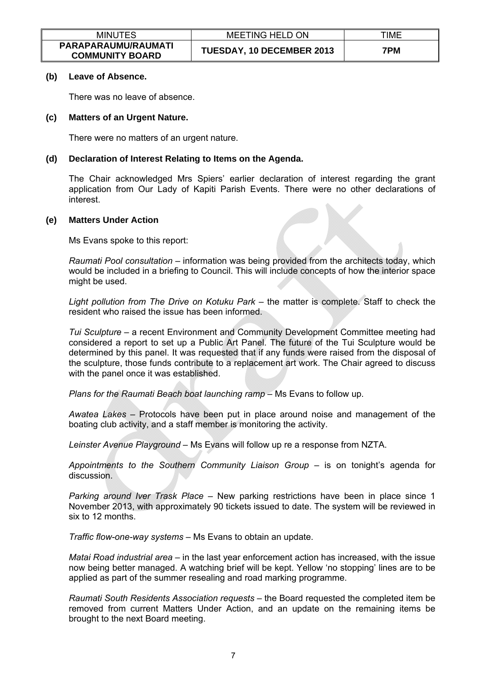| <b>MINUTES</b>                                | <b>MEETING HELD ON</b>    | TIME |
|-----------------------------------------------|---------------------------|------|
| PARAPARAUMU/RAUMATI<br><b>COMMUNITY BOARD</b> | TUESDAY, 10 DECEMBER 2013 | 7PM  |

#### **(b) Leave of Absence.**

There was no leave of absence.

## **(c) Matters of an Urgent Nature.**

There were no matters of an urgent nature.

## **(d) Declaration of Interest Relating to Items on the Agenda.**

The Chair acknowledged Mrs Spiers' earlier declaration of interest regarding the grant application from Our Lady of Kapiti Parish Events. There were no other declarations of interest.

## **(e) Matters Under Action**

Ms Evans spoke to this report:

*Raumati Pool consultation* – information was being provided from the architects today, which would be included in a briefing to Council. This will include concepts of how the interior space might be used.

*Light pollution from The Drive on Kotuku Park* – the matter is complete. Staff to check the resident who raised the issue has been informed.

*Tui Sculpture* – a recent Environment and Community Development Committee meeting had considered a report to set up a Public Art Panel. The future of the Tui Sculpture would be determined by this panel. It was requested that if any funds were raised from the disposal of the sculpture, those funds contribute to a replacement art work. The Chair agreed to discuss with the panel once it was established.

*Plans for the Raumati Beach boat launching ramp* – Ms Evans to follow up.

*Awatea Lakes* – Protocols have been put in place around noise and management of the boating club activity, and a staff member is monitoring the activity.

*Leinster Avenue Playground –* Ms Evans will follow up re a response from NZTA.

*Appointments to the Southern Community Liaison Group* – is on tonight's agenda for discussion.

*Parking around Iver Trask Place* – New parking restrictions have been in place since 1 November 2013, with approximately 90 tickets issued to date. The system will be reviewed in six to 12 months.

*Traffic flow-one-way systems* – Ms Evans to obtain an update.

*Matai Road industrial area* – in the last year enforcement action has increased, with the issue now being better managed. A watching brief will be kept. Yellow 'no stopping' lines are to be applied as part of the summer resealing and road marking programme.

*Raumati South Residents Association requests* – the Board requested the completed item be removed from current Matters Under Action, and an update on the remaining items be brought to the next Board meeting.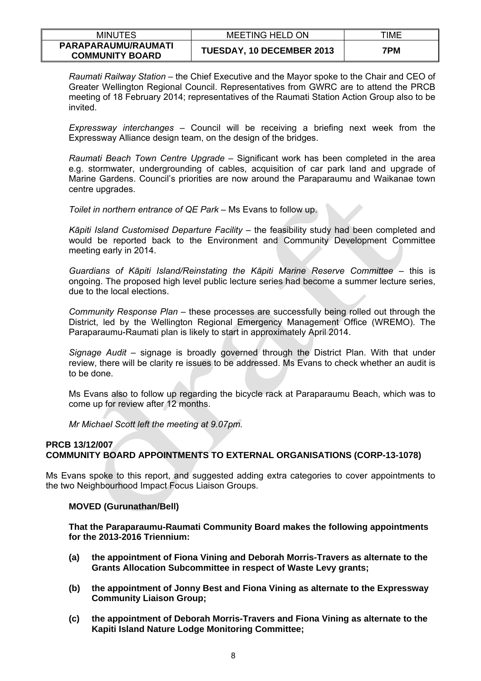| <b>MINUTES</b>                                | <b>MEETING HELD ON</b>    | TIME |
|-----------------------------------------------|---------------------------|------|
| PARAPARAUMU/RAUMATI<br><b>COMMUNITY BOARD</b> | TUESDAY, 10 DECEMBER 2013 | 7PM  |

*Raumati Railway Station* – the Chief Executive and the Mayor spoke to the Chair and CEO of Greater Wellington Regional Council. Representatives from GWRC are to attend the PRCB meeting of 18 February 2014; representatives of the Raumati Station Action Group also to be invited.

*Expressway interchanges* – Council will be receiving a briefing next week from the Expressway Alliance design team, on the design of the bridges.

*Raumati Beach Town Centre Upgrade* – Significant work has been completed in the area e.g. stormwater, undergrounding of cables, acquisition of car park land and upgrade of Marine Gardens. Council's priorities are now around the Paraparaumu and Waikanae town centre upgrades.

*Toilet in northern entrance of QE Park* – Ms Evans to follow up.

*Kāpiti Island Customised Departure Facility* – the feasibility study had been completed and would be reported back to the Environment and Community Development Committee meeting early in 2014.

*Guardians of Kāpiti Island/Reinstating the Kāpiti Marine Reserve Committee* – this is ongoing. The proposed high level public lecture series had become a summer lecture series, due to the local elections.

*Community Response Plan* – these processes are successfully being rolled out through the District, led by the Wellington Regional Emergency Management Office (WREMO). The Paraparaumu-Raumati plan is likely to start in approximately April 2014.

*Signage Audit* – signage is broadly governed through the District Plan. With that under review, there will be clarity re issues to be addressed. Ms Evans to check whether an audit is to be done.

Ms Evans also to follow up regarding the bicycle rack at Paraparaumu Beach, which was to come up for review after 12 months.

*Mr Michael Scott left the meeting at 9.07pm.* 

## **PRCB 13/12/007 COMMUNITY BOARD APPOINTMENTS TO EXTERNAL ORGANISATIONS (CORP-13-1078)**

Ms Evans spoke to this report, and suggested adding extra categories to cover appointments to the two Neighbourhood Impact Focus Liaison Groups.

### **MOVED (Gurunathan/Bell)**

**That the Paraparaumu-Raumati Community Board makes the following appointments for the 2013-2016 Triennium:** 

- **(a) the appointment of Fiona Vining and Deborah Morris-Travers as alternate to the Grants Allocation Subcommittee in respect of Waste Levy grants;**
- **(b) the appointment of Jonny Best and Fiona Vining as alternate to the Expressway Community Liaison Group;**
- **(c) the appointment of Deborah Morris-Travers and Fiona Vining as alternate to the Kapiti Island Nature Lodge Monitoring Committee;**